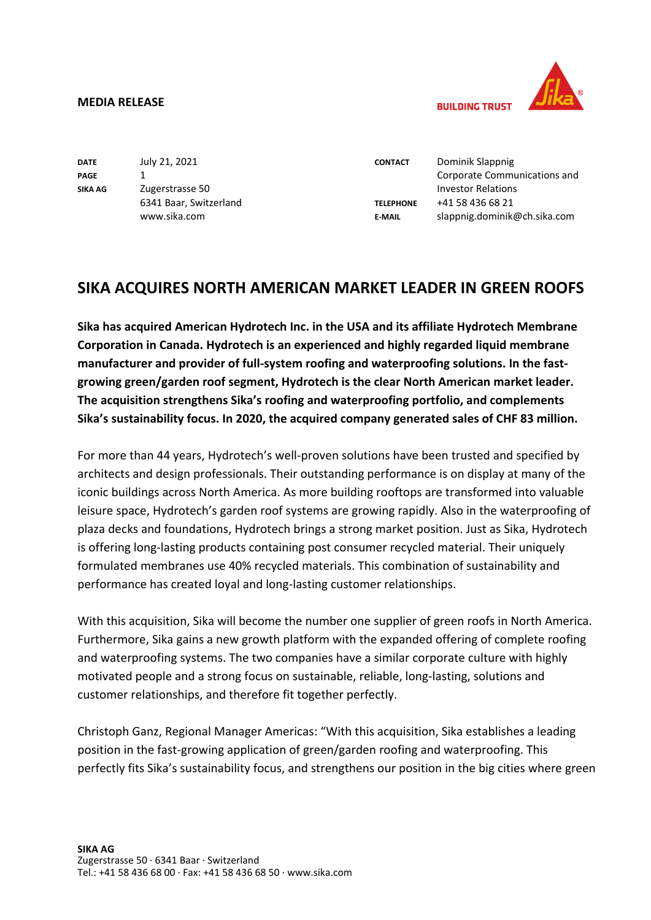## **MEDIA RELEASE**



**BUILDING TRUST** 

| <b>DATE</b>    | July 21, 2021          |
|----------------|------------------------|
| <b>PAGE</b>    | 1                      |
| <b>SIKA AG</b> | Zugerstrasse 50        |
|                | 6341 Baar, Switzerland |
|                | www.sika.com           |

**CONTACT TELEPHONE E-MAIL**

Dominik Slappnig Corporate Communications and Investor Relations +41 58 436 68 21 slappnig.dominik@ch.sika.com

## **SIKA ACQUIRES NORTH AMERICAN MARKET LEADER IN GREEN ROOFS**

**Sika has acquired American Hydrotech Inc. in the USA and its affiliate Hydrotech Membrane Corporation in Canada. Hydrotech is an experienced and highly regarded liquid membrane manufacturer and provider of full-system roofing and waterproofing solutions. In the fastgrowing green/garden roof segment, Hydrotech is the clear North American market leader. The acquisition strengthens Sika's roofing and waterproofing portfolio, and complements Sika's sustainability focus. In 2020, the acquired company generated sales of CHF 83 million.**

For more than 44 years, Hydrotech's well-proven solutions have been trusted and specified by architects and design professionals. Their outstanding performance is on display at many of the iconic buildings across North America. As more building rooftops are transformed into valuable leisure space, Hydrotech's garden roof systems are growing rapidly. Also in the waterproofing of plaza decks and foundations, Hydrotech brings a strong market position. Just as Sika, Hydrotech is offering long-lasting products containing post consumer recycled material. Their uniquely formulated membranes use 40% recycled materials. This combination of sustainability and performance has created loyal and long-lasting customer relationships.

With this acquisition, Sika will become the number one supplier of green roofs in North America. Furthermore, Sika gains a new growth platform with the expanded offering of complete roofing and waterproofing systems. The two companies have a similar corporate culture with highly motivated people and a strong focus on sustainable, reliable, long-lasting, solutions and customer relationships, and therefore fit together perfectly.

Christoph Ganz, Regional Manager Americas: "With this acquisition, Sika establishes a leading position in the fast-growing application of green/garden roofing and waterproofing. This perfectly fits Sika's sustainability focus, and strengthens our position in the big cities where green